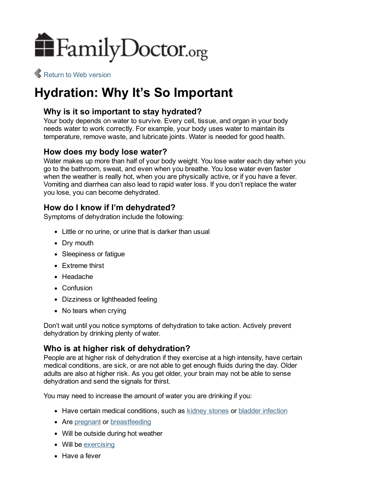

Return to Web [version](http://familydoctor.org/familydoctor/en/prevention-wellness/food-nutrition/nutrients/hydration-why-its-so-important.html)

# Hydration: Why It's So Important

# Why is it so important to stay hydrated?

Your body depends on water to survive. Every cell, tissue, and organ in your body needs water to work correctly. For example, your body uses water to maintain its temperature, remove waste, and lubricate joints. Water is needed for good health.

## How does my body lose water?

Water makes up more than half of your body weight. You lose water each day when you go to the bathroom, sweat, and even when you breathe. You lose water even faster when the weather is really hot, when you are physically active, or if you have a fever. Vomiting and diarrhea can also lead to rapid water loss. If you don't replace the water you lose, you can become dehydrated.

## How do I know if I'm dehydrated?

Symptoms of dehydration include the following:

- Little or no urine, or urine that is darker than usual
- Dry mouth
- Sleepiness or fatique
- Extreme thirst
- Headache
- Confusion
- Dizziness or lightheaded feeling
- No tears when crying

Don't wait until you notice symptoms of dehydration to take action. Actively prevent dehydration by drinking plenty of water.

# Who is at higher risk of dehydration?

People are at higher risk of dehydration if they exercise at a high intensity, have certain medical conditions, are sick, or are not able to get enough fluids during the day. Older adults are also at higher risk. As you get older, your brain may not be able to sense dehydration and send the signals for thirst.

You may need to increase the amount of water you are drinking if you:

- Have certain medical conditions, such as kidney [stones](http://familydoctor.org/familydoctor/en/diseases-conditions/kidney-stones.html) or bladder [infection](http://familydoctor.org/familydoctor/en/diseases-conditions/urinary-tract-infections.html)
- Are [pregnant](http://familydoctor.org/familydoctor/en/pregnancy-newborns.html) or [breastfeeding](http://familydoctor.org/familydoctor/en/pregnancy-newborns/caring-for-newborns/breastfeeding-formula.html)
- Will be outside during hot weather
- Will be [exercising](http://familydoctor.org/familydoctor/en/prevention-wellness/exercise-fitness/exercise-basics.html)
- Have a fever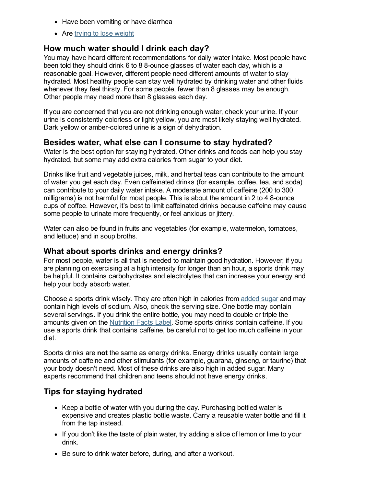- Have been vomiting or have diarrhea
- Are trying to lose [weight](http://familydoctor.org/familydoctor/en/prevention-wellness/food-nutrition/weight-loss/what-it-takes-to-lose-weight.html)

### How much water should I drink each day?

You may have heard different recommendations for daily water intake. Most people have been told they should drink 6 to 8 8-ounce glasses of water each day, which is a reasonable goal. However, different people need different amounts of water to stay hydrated. Most healthy people can stay well hydrated by drinking water and other fluids whenever they feel thirsty. For some people, fewer than 8 glasses may be enough. Other people may need more than 8 glasses each day.

If you are concerned that you are not drinking enough water, check your urine. If your urine is consistently colorless or light yellow, you are most likely staying well hydrated. Dark yellow or amber-colored urine is a sign of dehydration.

#### Besides water, what else can I consume to stay hydrated?

Water is the best option for staying hydrated. Other drinks and foods can help you stay hydrated, but some may add extra calories from sugar to your diet.

Drinks like fruit and vegetable juices, milk, and herbal teas can contribute to the amount of water you get each day. Even caffeinated drinks (for example, coffee, tea, and soda) can contribute to your daily water intake. A moderate amount of caffeine (200 to 300 milligrams) is not harmful for most people. This is about the amount in 2 to 4 8-ounce cups of coffee. However, it's best to limit caffeinated drinks because caffeine may cause some people to urinate more frequently, or feel anxious or jittery.

Water can also be found in fruits and vegetables (for example, watermelon, tomatoes, and lettuce) and in soup broths.

#### What about sports drinks and energy drinks?

For most people, water is all that is needed to maintain good hydration. However, if you are planning on exercising at a high intensity for longer than an hour, a sports drink may be helpful. It contains carbohydrates and electrolytes that can increase your energy and help your body absorb water.

Choose a sports drink wisely. They are often high in calories from [added](http://familydoctor.org/familydoctor/en/prevention-wellness/food-nutrition/sugar-and-substitutes/added-sugar-what-you-need-to-know.html) sugar and may contain high levels of sodium. Also, check the serving size. One bottle may contain several servings. If you drink the entire bottle, you may need to double or triple the amounts given on the [Nutrition](http://familydoctor.org/familydoctor/en/prevention-wellness/food-nutrition/nutrients/nutrition-how-to-read-a-nutrition-facts-label.html) Facts Label. Some sports drinks contain caffeine. If you use a sports drink that contains caffeine, be careful not to get too much caffeine in your diet.

Sports drinks are not the same as energy drinks. Energy drinks usually contain large amounts of caffeine and other stimulants (for example, guarana, ginseng, or taurine) that your body doesn't need. Most of these drinks are also high in added sugar. Many experts recommend that children and teens should not have energy drinks.

## Tips for staying hydrated

- Keep a bottle of water with you during the day. Purchasing bottled water is expensive and creates plastic bottle waste. Carry a reusable water bottle and fill it from the tap instead.
- If you don't like the taste of plain water, try adding a slice of lemon or lime to your drink.
- Be sure to drink water before, during, and after a workout.